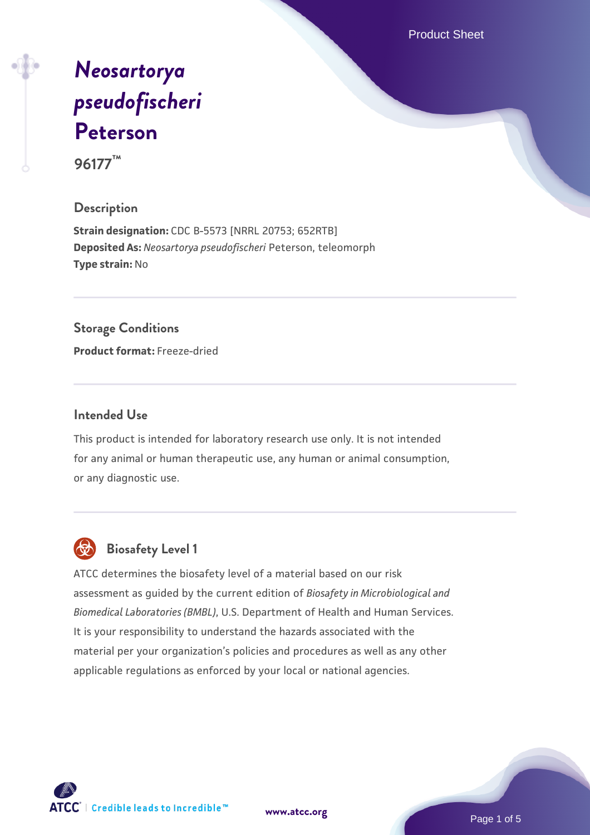Product Sheet

# *[Neosartorya](https://www.atcc.org/products/96177) [pseudofischeri](https://www.atcc.org/products/96177)* **[Peterson](https://www.atcc.org/products/96177) 96177™**

**Description**

**Strain designation:** CDC B-5573 [NRRL 20753; 652RTB] **Deposited As:** *Neosartorya pseudofischeri* Peterson, teleomorph **Type strain:** No

## **Storage Conditions**

**Product format:** Freeze-dried

#### **Intended Use**

This product is intended for laboratory research use only. It is not intended for any animal or human therapeutic use, any human or animal consumption, or any diagnostic use.



## **Biosafety Level 1**

ATCC determines the biosafety level of a material based on our risk assessment as guided by the current edition of *Biosafety in Microbiological and Biomedical Laboratories (BMBL)*, U.S. Department of Health and Human Services. It is your responsibility to understand the hazards associated with the material per your organization's policies and procedures as well as any other applicable regulations as enforced by your local or national agencies.



**[www.atcc.org](http://www.atcc.org)**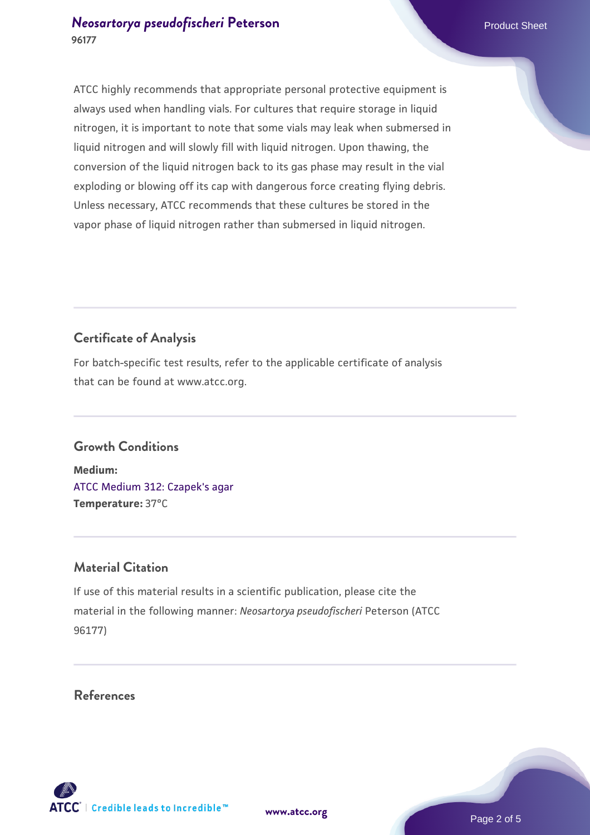### *[Neosartorya pseudofischeri](https://www.atcc.org/products/96177)* [Peterson](https://www.atcc.org/products/96177) **Product Sheet** Product Sheet **96177**

ATCC highly recommends that appropriate personal protective equipment is always used when handling vials. For cultures that require storage in liquid nitrogen, it is important to note that some vials may leak when submersed in liquid nitrogen and will slowly fill with liquid nitrogen. Upon thawing, the conversion of the liquid nitrogen back to its gas phase may result in the vial exploding or blowing off its cap with dangerous force creating flying debris. Unless necessary, ATCC recommends that these cultures be stored in the vapor phase of liquid nitrogen rather than submersed in liquid nitrogen.

## **Certificate of Analysis**

For batch-specific test results, refer to the applicable certificate of analysis that can be found at www.atcc.org.

### **Growth Conditions**

**Medium:**  [ATCC Medium 312: Czapek's agar](https://www.atcc.org/-/media/product-assets/documents/microbial-media-formulations/3/1/2/atcc-medium-312.pdf?rev=4992717cc7f64a9dadaeb35a339cb643) **Temperature:** 37°C

### **Material Citation**

If use of this material results in a scientific publication, please cite the material in the following manner: *Neosartorya pseudofischeri* Peterson (ATCC 96177)

#### **References**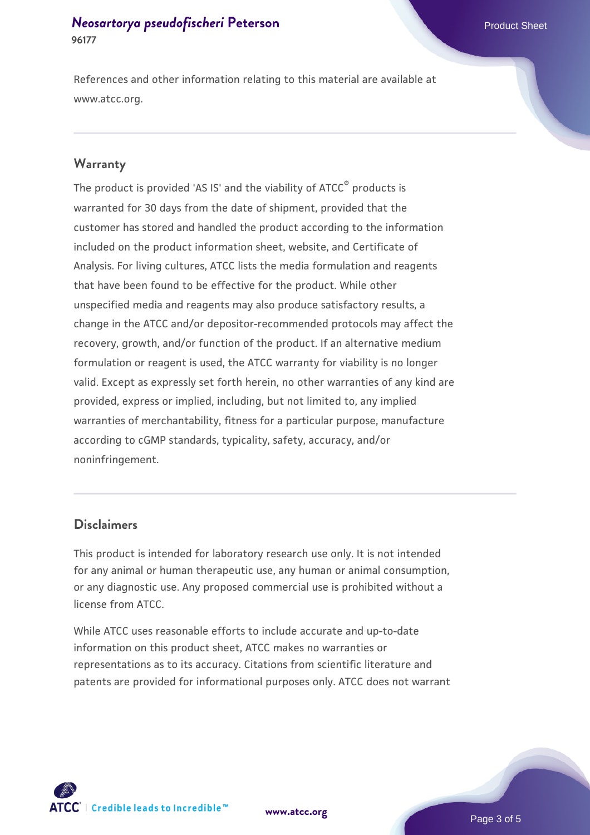#### *[Neosartorya pseudofischeri](https://www.atcc.org/products/96177)* [Peterson](https://www.atcc.org/products/96177) **Product Sheet** Product Sheet **96177**

References and other information relating to this material are available at www.atcc.org.

#### **Warranty**

The product is provided 'AS IS' and the viability of ATCC® products is warranted for 30 days from the date of shipment, provided that the customer has stored and handled the product according to the information included on the product information sheet, website, and Certificate of Analysis. For living cultures, ATCC lists the media formulation and reagents that have been found to be effective for the product. While other unspecified media and reagents may also produce satisfactory results, a change in the ATCC and/or depositor-recommended protocols may affect the recovery, growth, and/or function of the product. If an alternative medium formulation or reagent is used, the ATCC warranty for viability is no longer valid. Except as expressly set forth herein, no other warranties of any kind are provided, express or implied, including, but not limited to, any implied warranties of merchantability, fitness for a particular purpose, manufacture according to cGMP standards, typicality, safety, accuracy, and/or noninfringement.

#### **Disclaimers**

This product is intended for laboratory research use only. It is not intended for any animal or human therapeutic use, any human or animal consumption, or any diagnostic use. Any proposed commercial use is prohibited without a license from ATCC.

While ATCC uses reasonable efforts to include accurate and up-to-date information on this product sheet, ATCC makes no warranties or representations as to its accuracy. Citations from scientific literature and patents are provided for informational purposes only. ATCC does not warrant

**[www.atcc.org](http://www.atcc.org)**

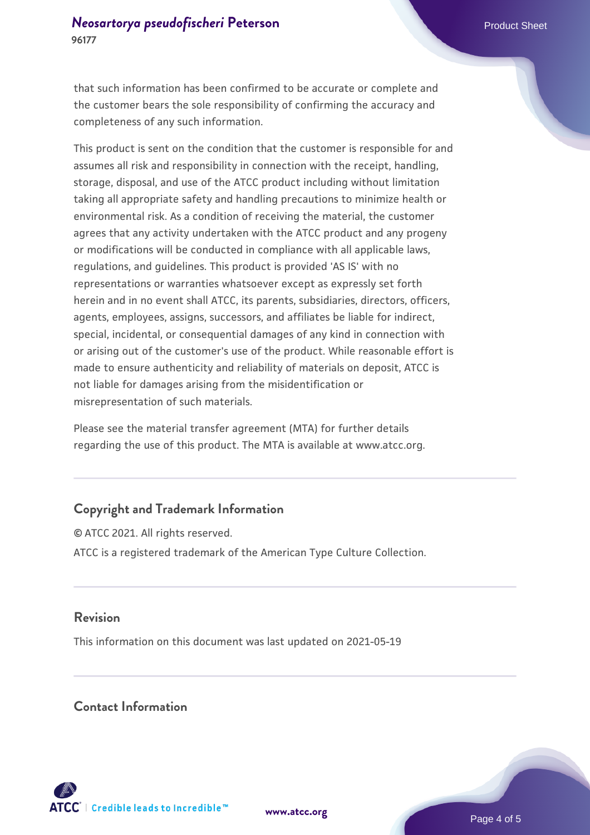that such information has been confirmed to be accurate or complete and the customer bears the sole responsibility of confirming the accuracy and completeness of any such information.

This product is sent on the condition that the customer is responsible for and assumes all risk and responsibility in connection with the receipt, handling, storage, disposal, and use of the ATCC product including without limitation taking all appropriate safety and handling precautions to minimize health or environmental risk. As a condition of receiving the material, the customer agrees that any activity undertaken with the ATCC product and any progeny or modifications will be conducted in compliance with all applicable laws, regulations, and guidelines. This product is provided 'AS IS' with no representations or warranties whatsoever except as expressly set forth herein and in no event shall ATCC, its parents, subsidiaries, directors, officers, agents, employees, assigns, successors, and affiliates be liable for indirect, special, incidental, or consequential damages of any kind in connection with or arising out of the customer's use of the product. While reasonable effort is made to ensure authenticity and reliability of materials on deposit, ATCC is not liable for damages arising from the misidentification or misrepresentation of such materials.

Please see the material transfer agreement (MTA) for further details regarding the use of this product. The MTA is available at www.atcc.org.

## **Copyright and Trademark Information**

© ATCC 2021. All rights reserved. ATCC is a registered trademark of the American Type Culture Collection.

#### **Revision**

This information on this document was last updated on 2021-05-19

#### **Contact Information**